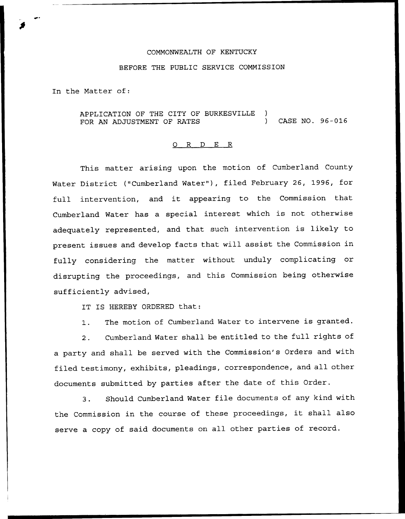## COMMONWEALTH OF KENTUCKY

## BEFORE THE PUBLIC SERVICE COMMISSION

In the Matter of:

APPLICATION OF THE CITY OF BURKESVILLE ) FOR AN ADJUSTMENT OF RATES (2008) CASE NO. 96-016

## 0 R <sup>D</sup> E R

This matter arising upon the motion of Cumberland County Water District ("Cumberland Water"), filed February 26, 1996, for full intervention, and it appearing to the Commission that Cumberland Water has a special interest which is not otherwise adequately represented, and that such intervention is likely to present issues and develop facts that will assist the Commission in fully considering the matter without unduly complicating or disrupting the proceedings, and this Commission being otherwise sufficiently advised,

IT IS HEREBY ORDERED that:

1. The motion of Cumberland Water to intervene is granted.

2. Cumberland Water shall be entitled to the full rights of a party and shall be served with the Commission's Orders and with filed testimony, exhibits, pleadings, correspondence, and all other documents submitted by parties after the date of this Order.

3. Should Cumberland Water file documents of any kind with the Commission in the course of these proceedings, it shall also serve a copy of said documents on all other parties of record.